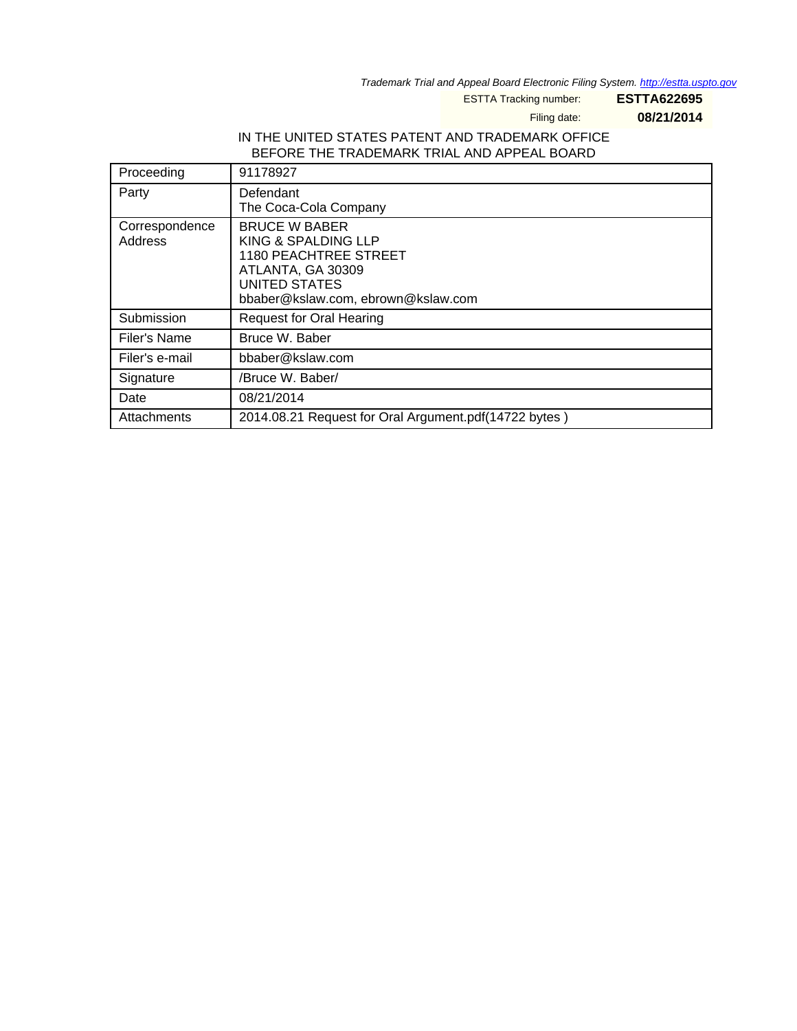Trademark Trial and Appeal Board Electronic Filing System. <http://estta.uspto.gov>

ESTTA Tracking number: **ESTTA622695**

Filing date: **08/21/2014**

#### IN THE UNITED STATES PATENT AND TRADEMARK OFFICE BEFORE THE TRADEMARK TRIAL AND APPEAL BOARD

| Proceeding                | 91178927                                                                                                                                                |
|---------------------------|---------------------------------------------------------------------------------------------------------------------------------------------------------|
| Party                     | Defendant<br>The Coca-Cola Company                                                                                                                      |
| Correspondence<br>Address | <b>BRUCE W BABER</b><br>KING & SPALDING LLP<br><b>1180 PEACHTREE STREET</b><br>ATLANTA, GA 30309<br>UNITED STATES<br>bbaber@kslaw.com, ebrown@kslaw.com |
| Submission                | <b>Request for Oral Hearing</b>                                                                                                                         |
| Filer's Name              | Bruce W. Baber                                                                                                                                          |
| Filer's e-mail            | bbaber@kslaw.com                                                                                                                                        |
| Signature                 | /Bruce W. Baber/                                                                                                                                        |
| Date                      | 08/21/2014                                                                                                                                              |
| Attachments               | 2014.08.21 Request for Oral Argument.pdf(14722 bytes)                                                                                                   |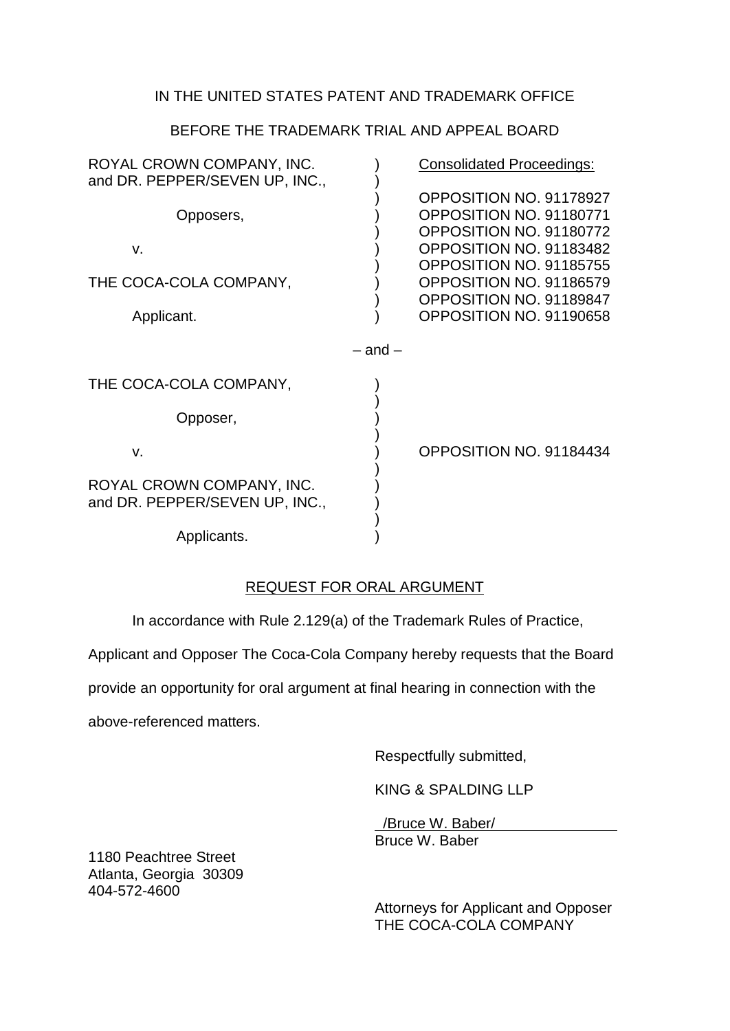## IN THE UNITED STATES PATENT AND TRADEMARK OFFICE

## BEFORE THE TRADEMARK TRIAL AND APPEAL BOARD

| ROYAL CROWN COMPANY, INC.<br>and DR. PEPPER/SEVEN UP, INC., |             | <b>Consolidated Proceedings:</b>                                                                         |
|-------------------------------------------------------------|-------------|----------------------------------------------------------------------------------------------------------|
| Opposers,                                                   |             | OPPOSITION NO. 91178927<br>OPPOSITION NO. 91180771<br>OPPOSITION NO. 91180772                            |
| V.<br>THE COCA-COLA COMPANY,                                |             | OPPOSITION NO. 91183482<br>OPPOSITION NO. 91185755<br>OPPOSITION NO. 91186579<br>OPPOSITION NO. 91189847 |
| Applicant.                                                  |             | OPPOSITION NO. 91190658                                                                                  |
|                                                             | $-$ and $-$ |                                                                                                          |
| THE COCA-COLA COMPANY,                                      |             |                                                                                                          |
| Opposer,                                                    |             |                                                                                                          |
| V.                                                          |             | OPPOSITION NO. 91184434                                                                                  |
| ROYAL CROWN COMPANY, INC.<br>and DR. PEPPER/SEVEN UP, INC., |             |                                                                                                          |
| Applicants.                                                 |             |                                                                                                          |

## REQUEST FOR ORAL ARGUMENT

In accordance with Rule 2.129(a) of the Trademark Rules of Practice,

Applicant and Opposer The Coca-Cola Company hereby requests that the Board

provide an opportunity for oral argument at final hearing in connection with the

above-referenced matters.

Respectfully submitted,

KING & SPALDING LLP

 /Bruce W. Baber/ Bruce W. Baber

1180 Peachtree Street Atlanta, Georgia 30309 404-572-4600

> Attorneys for Applicant and Opposer THE COCA-COLA COMPANY